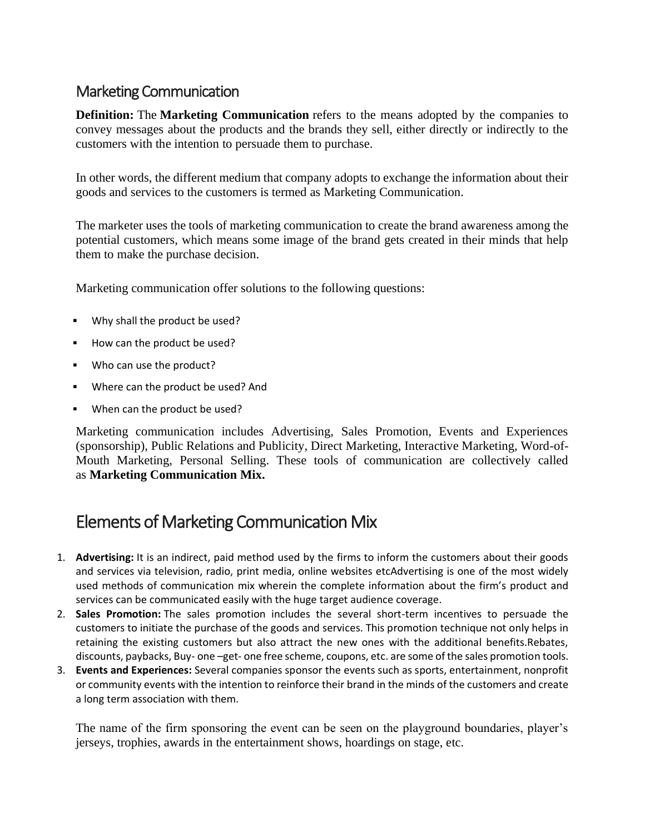## Marketing Communication

**Definition:** The **Marketing Communication** refers to the means adopted by the companies to convey messages about the products and the brands they sell, either directly or indirectly to the customers with the intention to persuade them to purchase.

In other words, the different medium that company adopts to exchange the information about their goods and services to the customers is termed as Marketing Communication.

The marketer uses the tools of marketing communication to create the brand awareness among the potential customers, which means some image of the brand gets created in their minds that help them to make the purchase decision.

Marketing communication offer solutions to the following questions:

- Why shall the product be used?
- How can the product be used?
- Who can use the product?
- Where can the product be used? And
- When can the product be used?

Marketing communication includes Advertising, Sales Promotion, Events and Experiences (sponsorship), Public Relations and Publicity, Direct Marketing, Interactive Marketing, Word-of-Mouth Marketing, Personal Selling. These tools of communication are collectively called as **Marketing Communication Mix.**

## Elements of Marketing Communication Mix

- 1. **Advertising:** It is an indirect, paid method used by the firms to inform the customers about their goods and services via television, radio, print media, online websites etcAdvertising is one of the most widely used methods of communication mix wherein the complete information about the firm's product and services can be communicated easily with the huge target audience coverage.
- 2. **Sales Promotion:** The sales promotion includes the several short-term incentives to persuade the customers to initiate the purchase of the goods and services. This promotion technique not only helps in retaining the existing customers but also attract the new ones with the additional benefits.Rebates, discounts, paybacks, Buy- one –get- one free scheme, coupons, etc. are some of the sales promotion tools.
- 3. **Events and Experiences:** Several companies sponsor the events such as sports, entertainment, nonprofit or community events with the intention to reinforce their brand in the minds of the customers and create a long term association with them.

The name of the firm sponsoring the event can be seen on the playground boundaries, player's jerseys, trophies, awards in the entertainment shows, hoardings on stage, etc.